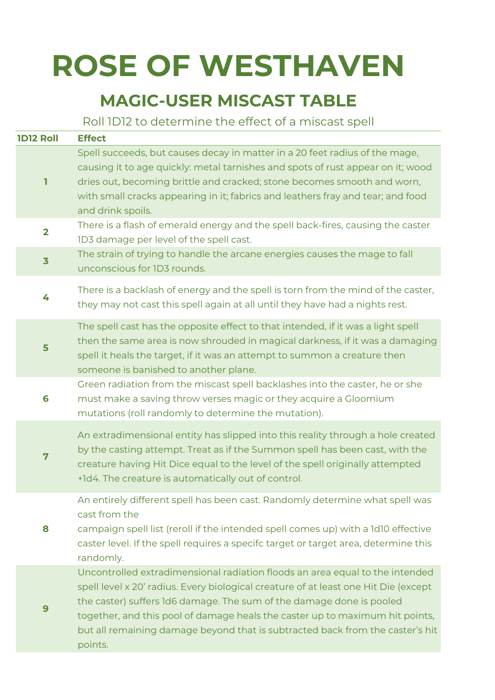## **ROSE OF WESTHAVEN**

## **MAGIC-USER MISCAST TABLE**

Roll 1D12 to determine the effect of a miscast spell

| <b>1D12 Roll</b>        | <b>Effect</b>                                                                                                                                                                                                                                                                                                                                                                                                           |
|-------------------------|-------------------------------------------------------------------------------------------------------------------------------------------------------------------------------------------------------------------------------------------------------------------------------------------------------------------------------------------------------------------------------------------------------------------------|
| ı                       | Spell succeeds, but causes decay in matter in a 20 feet radius of the mage,<br>causing it to age quickly: metal tarnishes and spots of rust appear on it; wood<br>dries out, becoming brittle and cracked; stone becomes smooth and worn,<br>with small cracks appearing in it; fabrics and leathers fray and tear; and food<br>and drink spoils.                                                                       |
| $\overline{\mathbf{2}}$ | There is a flash of emerald energy and the spell back-fires, causing the caster<br>1D3 damage per level of the spell cast.                                                                                                                                                                                                                                                                                              |
| $\overline{\mathbf{3}}$ | The strain of trying to handle the arcane energies causes the mage to fall<br>unconscious for 1D3 rounds.                                                                                                                                                                                                                                                                                                               |
| 4                       | There is a backlash of energy and the spell is torn from the mind of the caster,<br>they may not cast this spell again at all until they have had a nights rest.                                                                                                                                                                                                                                                        |
| 5                       | The spell cast has the opposite effect to that intended, if it was a light spell<br>then the same area is now shrouded in magical darkness, if it was a damaging<br>spell it heals the target, if it was an attempt to summon a creature then<br>someone is banished to another plane.                                                                                                                                  |
| 6                       | Green radiation from the miscast spell backlashes into the caster, he or she<br>must make a saving throw verses magic or they acquire a Gloomium<br>mutations (roll randomly to determine the mutation).                                                                                                                                                                                                                |
| 7                       | An extradimensional entity has slipped into this reality through a hole created<br>by the casting attempt. Treat as if the Summon spell has been cast, with the<br>creature having Hit Dice equal to the level of the spell originally attempted<br>+1d4. The creature is automatically out of control.                                                                                                                 |
| 8                       | An entirely different spell has been cast. Randomly determine what spell was<br>cast from the<br>campaign spell list (reroll if the intended spell comes up) with a 1d10 effective<br>caster level. If the spell requires a specifc target or target area, determine this<br>randomly.                                                                                                                                  |
| 9                       | Uncontrolled extradimensional radiation floods an area equal to the intended<br>spell level x 20' radius. Every biological creature of at least one Hit Die (except<br>the caster) suffers 1d6 damage. The sum of the damage done is pooled<br>together, and this pool of damage heals the caster up to maximum hit points,<br>but all remaining damage beyond that is subtracted back from the caster's hit<br>points. |